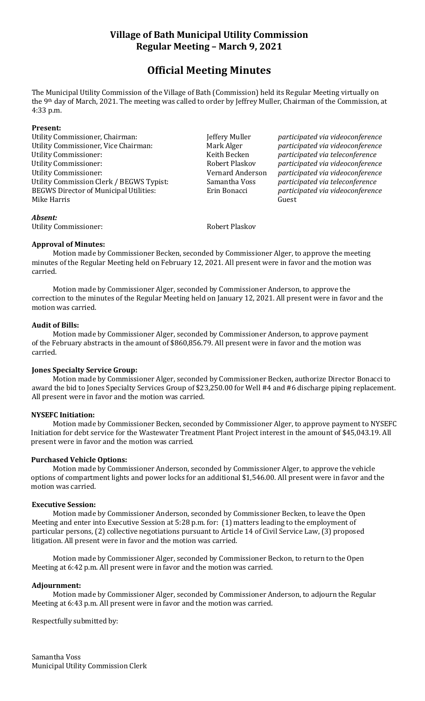## **Village of Bath Municipal Utility Commission Regular Meeting – March 9, 2021**

# **Official Meeting Minutes**

The Municipal Utility Commission of the Village of Bath (Commission) held its Regular Meeting virtually on the 9th day of March, 2021. The meeting was called to order by Jeffrey Muller, Chairman of the Commission, at 4:33 p.m.

#### **Present:**

Utility Commissioner, Chairman: Jeffery Muller *participated via videoconference* Utility Commissioner, Vice Chairman: Mark Alger *participated via videoconference* Utility Commissioner: Keith Becken *participated via teleconference* Utility Commissioner: Robert Plaskov *participated via videoconference* Utility Commissioner: Vernard Anderson *participated via videoconference* Utility Commission Clerk / BEGWS Typist: Samantha Voss *participated via teleconference* BEGWS Director of Municipal Utilities: Erin Bonacci *participated via videoconference* Mike Harris Guest

#### *Absent:*

Utility Commissioner: The Robert Plaskov

#### **Approval of Minutes:**

Motion made by Commissioner Becken, seconded by Commissioner Alger, to approve the meeting minutes of the Regular Meeting held on February 12, 2021. All present were in favor and the motion was carried.

Motion made by Commissioner Alger, seconded by Commissioner Anderson, to approve the correction to the minutes of the Regular Meeting held on January 12, 2021. All present were in favor and the motion was carried.

#### **Audit of Bills:**

Motion made by Commissioner Alger, seconded by Commissioner Anderson, to approve payment of the February abstracts in the amount of \$860,856.79. All present were in favor and the motion was carried.

## **Jones Specialty Service Group:**

Motion made by Commissioner Alger, seconded by Commissioner Becken, authorize Director Bonacci to award the bid to Jones Specialty Services Group of \$23,250.00 for Well #4 and #6 discharge piping replacement. All present were in favor and the motion was carried.

## **NYSEFC Initiation:**

Motion made by Commissioner Becken, seconded by Commissioner Alger, to approve payment to NYSEFC Initiation for debt service for the Wastewater Treatment Plant Project interest in the amount of \$45,043.19. All present were in favor and the motion was carried.

## **Purchased Vehicle Options:**

Motion made by Commissioner Anderson, seconded by Commissioner Alger, to approve the vehicle options of compartment lights and power locks for an additional \$1,546.00. All present were in favor and the motion was carried.

#### **Executive Session:**

Motion made by Commissioner Anderson, seconded by Commissioner Becken, to leave the Open Meeting and enter into Executive Session at 5:28 p.m. for: (1) matters leading to the employment of particular persons, (2) collective negotiations pursuant to Article 14 of Civil Service Law, (3) proposed litigation. All present were in favor and the motion was carried.

Motion made by Commissioner Alger, seconded by Commissioner Beckon, to return to the Open Meeting at 6:42 p.m. All present were in favor and the motion was carried.

## **Adjournment:**

Motion made by Commissioner Alger, seconded by Commissioner Anderson, to adjourn the Regular Meeting at 6:43 p.m. All present were in favor and the motion was carried.

Respectfully submitted by: